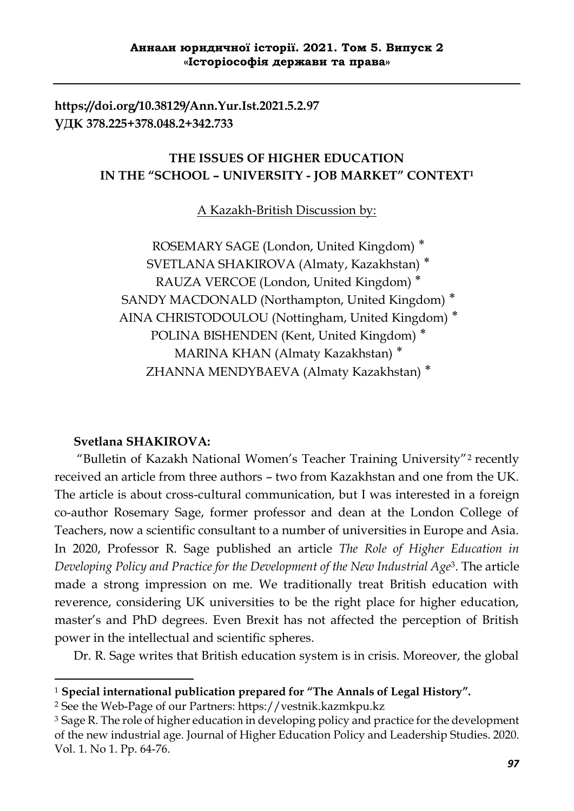**https://doi.org/10.38129/Ann.Yur.Ist.2021.5.2.97 УДК 378.225+378.048.2+342.733**

# **THE ISSUES OF HIGHER EDUCATION IN THE "SCHOOL – UNIVERSITY - JOB MARKET" CONTEXT<sup>1</sup>**

A Kazakh-British Discussion by:

ROSEMARY SAGE (London, United Kingdom)<sup>\*</sup> SVETLANA SHAKIROVA (Almaty, Kazakhstan)<sup>\*</sup> RAUZA VERCOE (London, United Kingdom)<sup>\*</sup> SANDY MACDONALD (Northampton, United Kingdom)<sup>\*</sup> AINA CHRISTODOULOU (Nottingham, United Kingdom)<sup>\*</sup> POLINA BISHENDEN (Kent, United Kingdom)<sup>\*</sup> MARINA KHAN (Almaty Kazakhstan)<sup>\*</sup> ZHANNA MENDYBAEVA (Almaty Kazakhstan)<sup>\*</sup>

# **Svetlana SHAKIROVA:**

**.** 

 "Bulletin of Kazakh National Women's Teacher Training University"<sup>2</sup> recently received an article from three authors – two from Kazakhstan and one from the UK. The article is about cross-cultural communication, but I was interested in a foreign co-author Rosemary Sage, former professor and dean at the London College of Teachers, now a scientific consultant to a number of universities in Europe and Asia. In 2020, Professor R. Sage published an article *The Role of Higher Education in Developing Policy and Practice for the Development of the New Industrial Age*3. The article made a strong impression on me. We traditionally treat British education with reverence, considering UK universities to be the right place for higher education, master's and PhD degrees. Even Brexit has not affected the perception of British power in the intellectual and scientific spheres.

Dr. R. Sage writes that British education system is in crisis. Moreover, the global

<sup>2</sup> See the Web-Page of our Partners: https://vestnik.kazmkpu.kz

<sup>1</sup> **Special international publication prepared for "The Annals of Legal History".**

<sup>&</sup>lt;sup>3</sup> Sage R. The role of higher education in developing policy and practice for the development of the new industrial age. Journal of Higher Education Policy and Leadership Studies. 2020. Vol. 1. No 1. Pp. 64-76.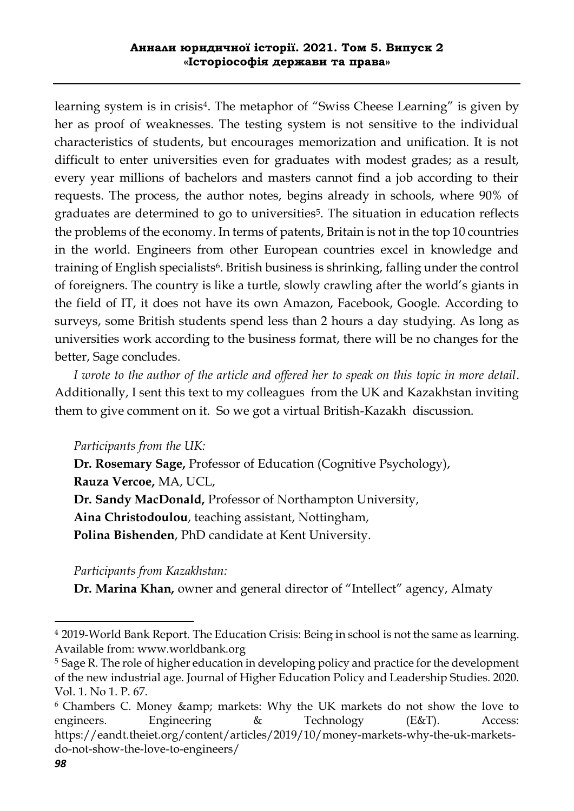learning system is in crisis<sup>4</sup>. The metaphor of "Swiss Cheese Learning" is given by her as proof of weaknesses. The testing system is not sensitive to the individual characteristics of students, but encourages memorization and unification. It is not difficult to enter universities even for graduates with modest grades; as a result, every year millions of bachelors and masters cannot find a job according to their requests. The process, the author notes, begins already in schools, where 90% of graduates are determined to go to universities<sup>5</sup>. The situation in education reflects the problems of the economy. In terms of patents, Britain is not in the top 10 countries in the world. Engineers from other European countries excel in knowledge and training of English specialists<sup>6</sup>. British business is shrinking, falling under the control of foreigners. The country is like a turtle, slowly crawling after the world's giants in the field of IT, it does not have its own Amazon, Facebook, Google. According to surveys, some British students spend less than 2 hours a day studying. As long as universities work according to the business format, there will be no changes for the better, Sage concludes.

 *I wrote to the author of the article and offered her to speak on this topic in more detail*. Additionally, I sent this text to my colleagues from the UK and Kazakhstan inviting them to give comment on it. So we got a virtual British-Kazakh discussion.

# *Participants from the UK:*

 **Dr. Rosemary Sage,** Professor of Education (Cognitive Psychology),  **Rauza Vercoe,** MA, UCL,  **Dr. Sandy MacDonald,** Professor of Northampton University,  **Aina Christodoulou**, teaching assistant, Nottingham,  **Polina Bishenden**, PhD candidate at Kent University.

# *Participants from Kazakhstan:*

 **Dr. Marina Khan,** owner and general director of "Intellect" agency, Almaty

1

<sup>4</sup> 2019-World Bank Report. The Education Crisis: Being in school is not the same as learning. Available from: www.worldbank.org

<sup>5</sup> Sage R. The role of higher education in developing policy and practice for the development of the new industrial age. Journal of Higher Education Policy and Leadership Studies. 2020. Vol. 1. No 1. P. 67.

<sup>&</sup>lt;sup>6</sup> Chambers C. Money & amp; markets: Why the UK markets do not show the love to engineers. Engineering & Technology (E&T). Access: https://eandt.theiet.org/content/articles/2019/10/money-markets-why-the-uk-marketsdo-not-show-the-love-to-engineers/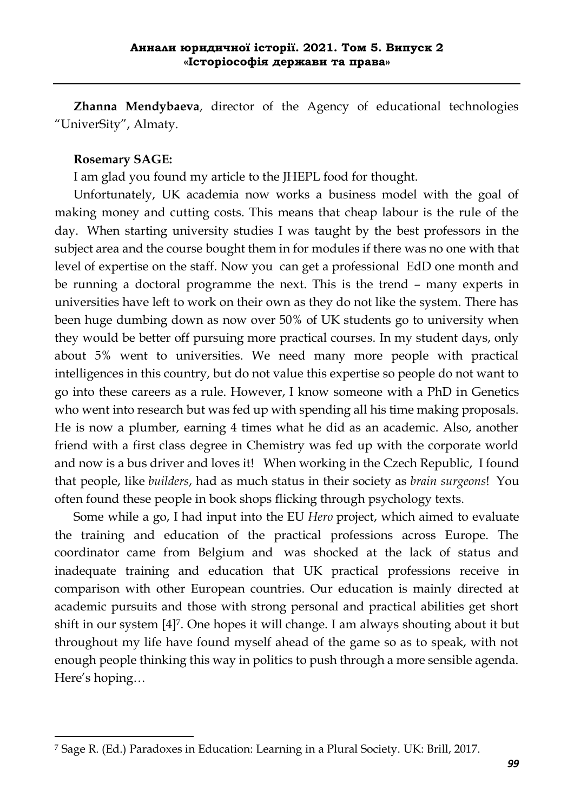**Zhanna Mendybaeva**, director of the Agency of educational technologies "UniverSity", Almaty.

#### **Rosemary SAGE:**

-

I am glad you found my article to the JHEPL food for thought.

 Unfortunately, UK academia now works a business model with the goal of making money and cutting costs. This means that cheap labour is the rule of the day. When starting university studies I was taught by the best professors in the subject area and the course bought them in for modules if there was no one with that level of expertise on the staff. Now you can get a professional EdD one month and be running a doctoral programme the next. This is the trend – many experts in universities have left to work on their own as they do not like the system. There has been huge dumbing down as now over 50% of UK students go to university when they would be better off pursuing more practical courses. In my student days, only about 5% went to universities. We need many more people with practical intelligences in this country, but do not value this expertise so people do not want to go into these careers as a rule. However, I know someone with a PhD in Genetics who went into research but was fed up with spending all his time making proposals. He is now a plumber, earning 4 times what he did as an academic. Also, another friend with a first class degree in Chemistry was fed up with the corporate world and now is a bus driver and loves it! When working in the Czech Republic, I found that people, like *builders*, had as much status in their society as *brain surgeons*! You often found these people in book shops flicking through psychology texts.

 Some while a go, I had input into the EU *Hero* project, which aimed to evaluate the training and education of the practical professions across Europe. The coordinator came from Belgium and was shocked at the lack of status and inadequate training and education that UK practical professions receive in comparison with other European countries. Our education is mainly directed at academic pursuits and those with strong personal and practical abilities get short shift in our system [4]7. One hopes it will change. I am always shouting about it but throughout my life have found myself ahead of the game so as to speak, with not enough people thinking this way in politics to push through a more sensible agenda. Here's hoping…

<sup>7</sup> Sage R. (Ed.) Paradoxes in Education: Learning in a Plural Society. UK: Brill, 2017.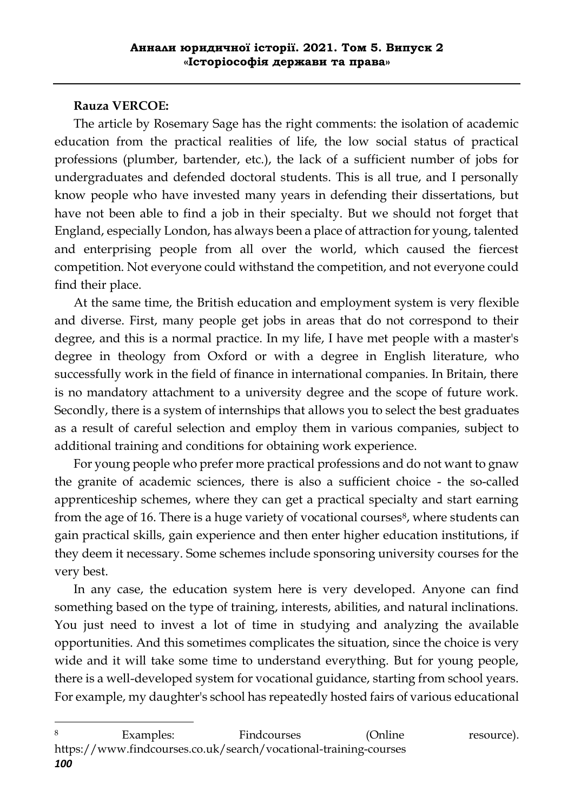#### **Rauza VERCOE:**

**.** 

 The article by Rosemary Sage has the right comments: the isolation of academic education from the practical realities of life, the low social status of practical professions (plumber, bartender, etc.), the lack of a sufficient number of jobs for undergraduates and defended doctoral students. This is all true, and I personally know people who have invested many years in defending their dissertations, but have not been able to find a job in their specialty. But we should not forget that England, especially London, has always been a place of attraction for young, talented and enterprising people from all over the world, which caused the fiercest competition. Not everyone could withstand the competition, and not everyone could find their place.

 At the same time, the British education and employment system is very flexible and diverse. First, many people get jobs in areas that do not correspond to their degree, and this is a normal practice. In my life, I have met people with a master's degree in theology from Oxford or with a degree in English literature, who successfully work in the field of finance in international companies. In Britain, there is no mandatory attachment to a university degree and the scope of future work. Secondly, there is a system of internships that allows you to select the best graduates as a result of careful selection and employ them in various companies, subject to additional training and conditions for obtaining work experience.

 For young people who prefer more practical professions and do not want to gnaw the granite of academic sciences, there is also a sufficient choice - the so-called apprenticeship schemes, where they can get a practical specialty and start earning from the age of 16. There is a huge variety of vocational courses<sup>8</sup>, where students can gain practical skills, gain experience and then enter higher education institutions, if they deem it necessary. Some schemes include sponsoring university courses for the very best.

 In any case, the education system here is very developed. Anyone can find something based on the type of training, interests, abilities, and natural inclinations. You just need to invest a lot of time in studying and analyzing the available opportunities. And this sometimes complicates the situation, since the choice is very wide and it will take some time to understand everything. But for young people, there is a well-developed system for vocational guidance, starting from school years. For example, my daughter's school has repeatedly hosted fairs of various educational

*<sup>100</sup>* 8 Examples: Findcourses (Online resource). https://www.findcourses.co.uk/search/vocational-training-courses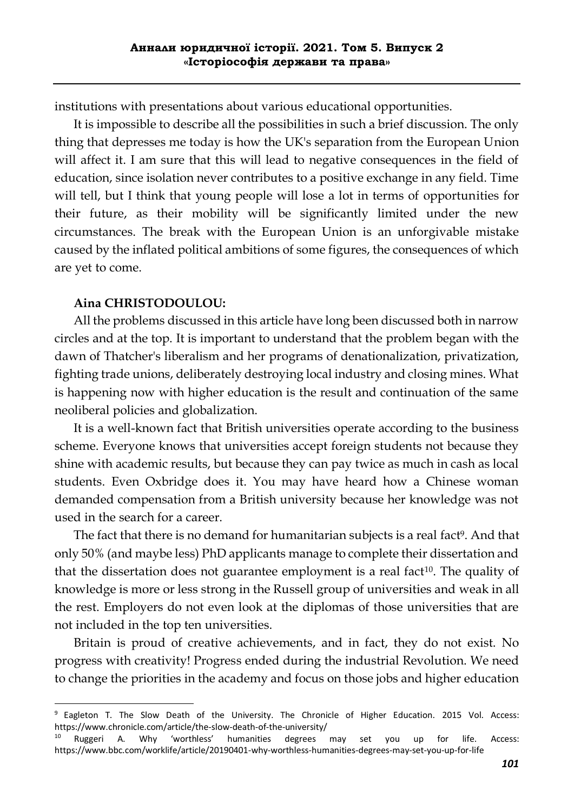institutions with presentations about various educational opportunities.

 It is impossible to describe all the possibilities in such a brief discussion. The only thing that depresses me today is how the UK's separation from the European Union will affect it. I am sure that this will lead to negative consequences in the field of education, since isolation never contributes to a positive exchange in any field. Time will tell, but I think that young people will lose a lot in terms of opportunities for their future, as their mobility will be significantly limited under the new circumstances. The break with the European Union is an unforgivable mistake caused by the inflated political ambitions of some figures, the consequences of which are yet to come.

#### **Aina CHRISTODOULOU:**

1

 All the problems discussed in this article have long been discussed both in narrow circles and at the top. It is important to understand that the problem began with the dawn of Thatcher's liberalism and her programs of denationalization, privatization, fighting trade unions, deliberately destroying local industry and closing mines. What is happening now with higher education is the result and continuation of the same neoliberal policies and globalization.

 It is a well-known fact that British universities operate according to the business scheme. Everyone knows that universities accept foreign students not because they shine with academic results, but because they can pay twice as much in cash as local students. Even Oxbridge does it. You may have heard how a Chinese woman demanded compensation from a British university because her knowledge was not used in the search for a career.

The fact that there is no demand for humanitarian subjects is a real fact<sup>9</sup>. And that only 50% (and maybe less) PhD applicants manage to complete their dissertation and that the dissertation does not guarantee employment is a real fact $10$ . The quality of knowledge is more or less strong in the Russell group of universities and weak in all the rest. Employers do not even look at the diplomas of those universities that are not included in the top ten universities.

 Britain is proud of creative achievements, and in fact, they do not exist. No progress with creativity! Progress ended during the industrial Revolution. We need to change the priorities in the academy and focus on those jobs and higher education

<sup>&</sup>lt;sup>9</sup> Eagleton T. The Slow Death of the University. The Chronicle of Higher Education. 2015 Vol. Access: https://www.chronicle.com/article/the-slow-death-of-the-university/

<sup>&</sup>lt;sup>10</sup> Ruggeri A. Why 'worthless' humanities degrees may set you up for life. Access: https://www.bbc.com/worklife/article/20190401-why-worthless-humanities-degrees-may-set-you-up-for-life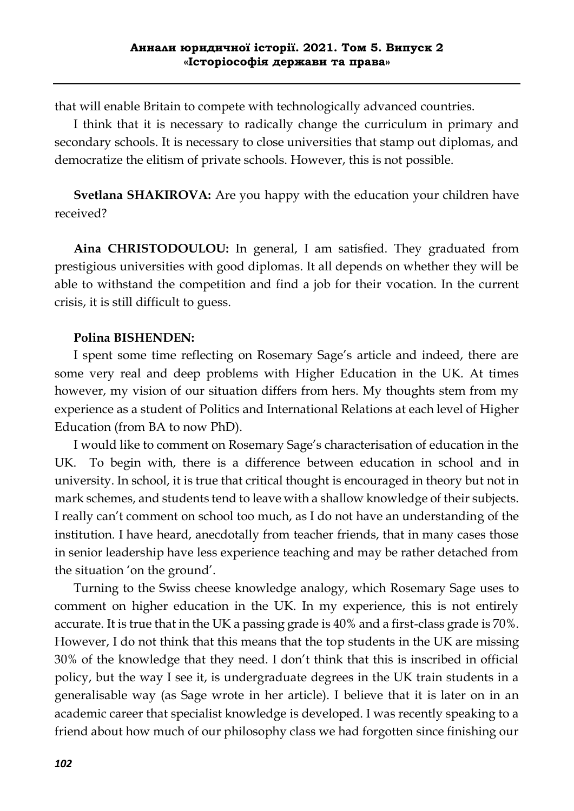that will enable Britain to compete with technologically advanced countries.

 I think that it is necessary to radically change the curriculum in primary and secondary schools. It is necessary to close universities that stamp out diplomas, and democratize the elitism of private schools. However, this is not possible.

 **Svetlana SHAKIROVA:** Are you happy with the education your children have received?

 **Aina CHRISTODOULOU:** In general, I am satisfied. They graduated from prestigious universities with good diplomas. It all depends on whether they will be able to withstand the competition and find a job for their vocation. In the current crisis, it is still difficult to guess.

# **Polina BISHENDEN:**

 I spent some time reflecting on Rosemary Sage's article and indeed, there are some very real and deep problems with Higher Education in the UK. At times however, my vision of our situation differs from hers. My thoughts stem from my experience as a student of Politics and International Relations at each level of Higher Education (from BA to now PhD).

 I would like to comment on Rosemary Sage's characterisation of education in the UK. To begin with, there is a difference between education in school and in university. In school, it is true that critical thought is encouraged in theory but not in mark schemes, and students tend to leave with a shallow knowledge of their subjects. I really can't comment on school too much, as I do not have an understanding of the institution. I have heard, anecdotally from teacher friends, that in many cases those in senior leadership have less experience teaching and may be rather detached from the situation 'on the ground'.

 Turning to the Swiss cheese knowledge analogy, which Rosemary Sage uses to comment on higher education in the UK. In my experience, this is not entirely accurate. It is true that in the UK a passing grade is 40% and a first-class grade is 70%. However, I do not think that this means that the top students in the UK are missing 30% of the knowledge that they need. I don't think that this is inscribed in official policy, but the way I see it, is undergraduate degrees in the UK train students in a generalisable way (as Sage wrote in her article). I believe that it is later on in an academic career that specialist knowledge is developed. I was recently speaking to a friend about how much of our philosophy class we had forgotten since finishing our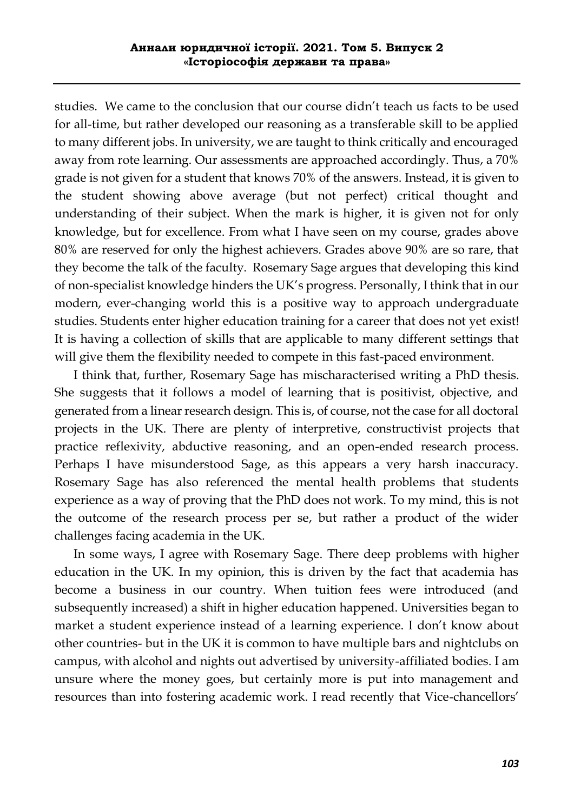studies. We came to the conclusion that our course didn't teach us facts to be used for all-time, but rather developed our reasoning as a transferable skill to be applied to many different jobs. In university, we are taught to think critically and encouraged away from rote learning. Our assessments are approached accordingly. Thus, a 70% grade is not given for a student that knows 70% of the answers. Instead, it is given to the student showing above average (but not perfect) critical thought and understanding of their subject. When the mark is higher, it is given not for only knowledge, but for excellence. From what I have seen on my course, grades above 80% are reserved for only the highest achievers. Grades above 90% are so rare, that they become the talk of the faculty. Rosemary Sage argues that developing this kind of non-specialist knowledge hinders the UK's progress. Personally, I think that in our modern, ever-changing world this is a positive way to approach undergraduate studies. Students enter higher education training for a career that does not yet exist! It is having a collection of skills that are applicable to many different settings that will give them the flexibility needed to compete in this fast-paced environment.

 I think that, further, Rosemary Sage has mischaracterised writing a PhD thesis. She suggests that it follows a model of learning that is positivist, objective, and generated from a linear research design. This is, of course, not the case for all doctoral projects in the UK. There are plenty of interpretive, constructivist projects that practice reflexivity, abductive reasoning, and an open-ended research process. Perhaps I have misunderstood Sage, as this appears a very harsh inaccuracy. Rosemary Sage has also referenced the mental health problems that students experience as a way of proving that the PhD does not work. To my mind, this is not the outcome of the research process per se, but rather a product of the wider challenges facing academia in the UK.

 In some ways, I agree with Rosemary Sage. There deep problems with higher education in the UK. In my opinion, this is driven by the fact that academia has become a business in our country. When tuition fees were introduced (and subsequently increased) a shift in higher education happened. Universities began to market a student experience instead of a learning experience. I don't know about other countries- but in the UK it is common to have multiple bars and nightclubs on campus, with alcohol and nights out advertised by university-affiliated bodies. I am unsure where the money goes, but certainly more is put into management and resources than into fostering academic work. I read recently that Vice-chancellors'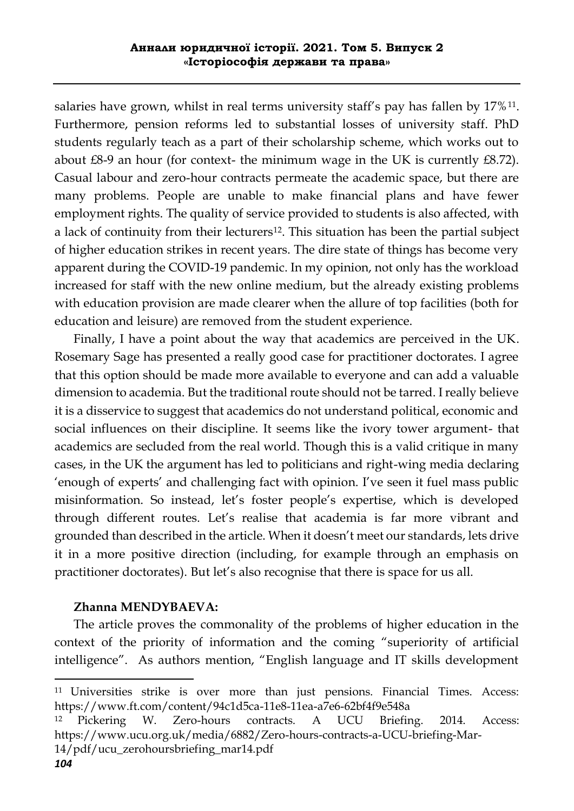salaries have grown, whilst in real terms university staff's pay has fallen by 17%11. Furthermore, pension reforms led to substantial losses of university staff. PhD students regularly teach as a part of their scholarship scheme, which works out to about £8-9 an hour (for context- the minimum wage in the UK is currently £8.72). Casual labour and zero-hour contracts permeate the academic space, but there are many problems. People are unable to make financial plans and have fewer employment rights. The quality of service provided to students is also affected, with a lack of continuity from their lecturers<sup>12</sup>. This situation has been the partial subject of higher education strikes in recent years. The dire state of things has become very apparent during the COVID-19 pandemic. In my opinion, not only has the workload increased for staff with the new online medium, but the already existing problems with education provision are made clearer when the allure of top facilities (both for education and leisure) are removed from the student experience.

 Finally, I have a point about the way that academics are perceived in the UK. Rosemary Sage has presented a really good case for practitioner doctorates. I agree that this option should be made more available to everyone and can add a valuable dimension to academia. But the traditional route should not be tarred. I really believe it is a disservice to suggest that academics do not understand political, economic and social influences on their discipline. It seems like the ivory tower argument- that academics are secluded from the real world. Though this is a valid critique in many cases, in the UK the argument has led to politicians and right-wing media declaring 'enough of experts' and challenging fact with opinion. I've seen it fuel mass public misinformation. So instead, let's foster people's expertise, which is developed through different routes. Let's realise that academia is far more vibrant and grounded than described in the article. When it doesn't meet our standards, lets drive it in a more positive direction (including, for example through an emphasis on practitioner doctorates). But let's also recognise that there is space for us all.

# **Zhanna MENDYBAEVA:**

 The article proves the commonality of the problems of higher education in the context of the priority of information and the coming "superiority of artificial intelligence". As authors mention, "English language and IT skills development

**.** 

<sup>11</sup> Universities strike is over more than just pensions. Financial Times. Access: https://www.ft.com/content/94c1d5ca-11e8-11ea-a7e6-62bf4f9e548a

<sup>12</sup> Pickering W. Zero-hours contracts. A UCU Briefing. 2014. Access: https://www.ucu.org.uk/media/6882/Zero-hours-contracts-a-UCU-briefing-Mar-14/pdf/ucu\_zerohoursbriefing\_mar14.pdf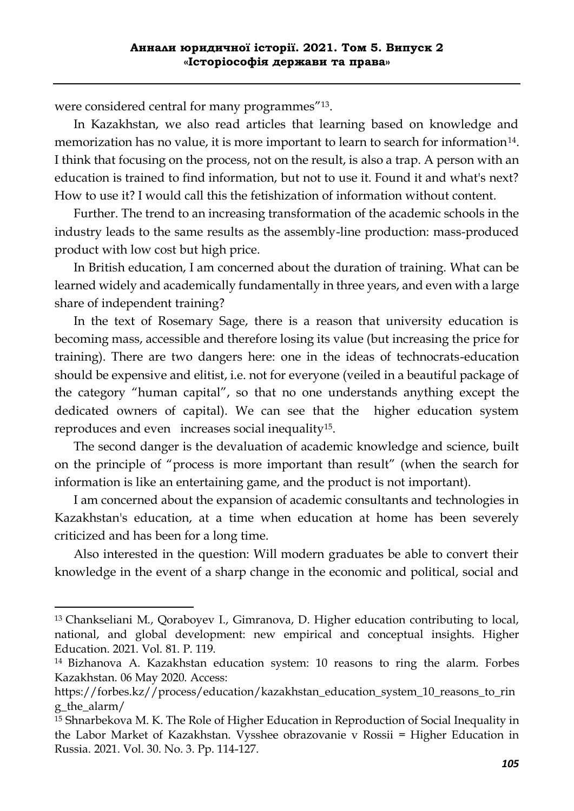were considered central for many programmes"<sup>13</sup>.

 In Kazakhstan, we also read articles that learning based on knowledge and memorization has no value, it is more important to learn to search for information<sup>14</sup>. I think that focusing on the process, not on the result, is also a trap. A person with an education is trained to find information, but not to use it. Found it and what's next? How to use it? I would call this the fetishization of information without content.

 Further. The trend to an increasing transformation of the academic schools in the industry leads to the same results as the assembly-line production: mass-produced product with low cost but high price.

 In British education, I am concerned about the duration of training. What can be learned widely and academically fundamentally in three years, and even with a large share of independent training?

 In the text of Rosemary Sage, there is a reason that university education is becoming mass, accessible and therefore losing its value (but increasing the price for training). There are two dangers here: one in the ideas of technocrats-education should be expensive and elitist, i.e. not for everyone (veiled in a beautiful package of the category "human capital", so that no one understands anything except the dedicated owners of capital). We can see that the higher education system reproduces and even increases social inequality15.

 The second danger is the devaluation of academic knowledge and science, built on the principle of "process is more important than result" (when the search for information is like an entertaining game, and the product is not important).

 I am concerned about the expansion of academic consultants and technologies in Kazakhstan's education, at a time when education at home has been severely criticized and has been for a long time.

 Also interested in the question: Will modern graduates be able to convert their knowledge in the event of a sharp change in the economic and political, social and

-

<sup>13</sup> Chankseliani M., Qoraboyev I., Gimranova, D. Higher education contributing to local, national, and global development: new empirical and conceptual insights. Higher Education. 2021. Vol. 81. P. 119.

<sup>14</sup> Bizhanova A. Kazakhstan education system: 10 reasons to ring the alarm. Forbes Kazakhstan. 06 May 2020. Access:

https://forbes.kz//process/education/kazakhstan\_education\_system\_10\_reasons\_to\_rin g\_the\_alarm/

<sup>15</sup> Shnarbekova M. K. The Role of Higher Education in Reproduction of Social Inequality in the Labor Market of Kazakhstan. Vysshee obrazovanie v Rossii = Higher Education in Russia. 2021. Vol. 30. No. 3. Pp. 114-127.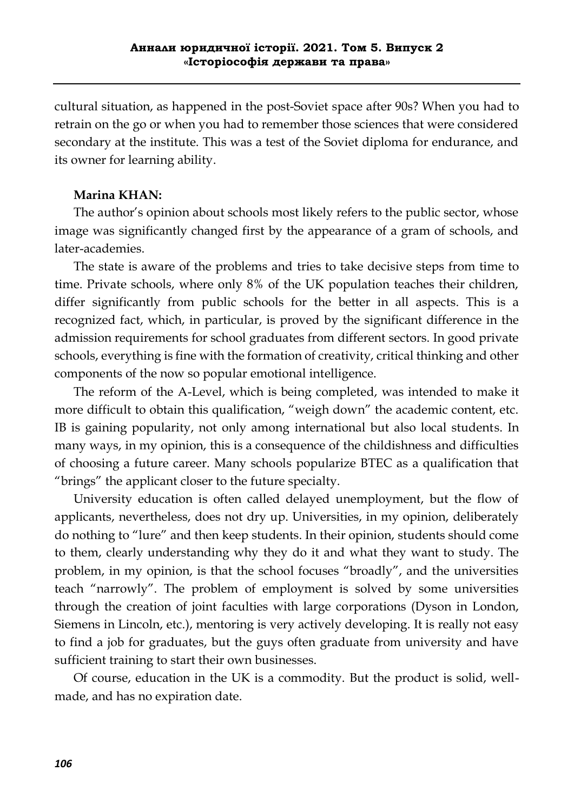cultural situation, as happened in the post-Soviet space after 90s? When you had to retrain on the go or when you had to remember those sciences that were considered secondary at the institute. This was a test of the Soviet diploma for endurance, and its owner for learning ability.

#### **Marina KHAN:**

 The author's opinion about schools most likely refers to the public sector, whose image was significantly changed first by the appearance of a gram of schools, and later-academies.

 The state is aware of the problems and tries to take decisive steps from time to time. Private schools, where only 8% of the UK population teaches their children, differ significantly from public schools for the better in all aspects. This is a recognized fact, which, in particular, is proved by the significant difference in the admission requirements for school graduates from different sectors. In good private schools, everything is fine with the formation of creativity, critical thinking and other components of the now so popular emotional intelligence.

 The reform of the A-Level, which is being completed, was intended to make it more difficult to obtain this qualification, "weigh down" the academic content, etc. IB is gaining popularity, not only among international but also local students. In many ways, in my opinion, this is a consequence of the childishness and difficulties of choosing a future career. Many schools popularize BTEC as a qualification that "brings" the applicant closer to the future specialty.

 University education is often called delayed unemployment, but the flow of applicants, nevertheless, does not dry up. Universities, in my opinion, deliberately do nothing to "lure" and then keep students. In their opinion, students should come to them, clearly understanding why they do it and what they want to study. The problem, in my opinion, is that the school focuses "broadly", and the universities teach "narrowly". The problem of employment is solved by some universities through the creation of joint faculties with large corporations (Dyson in London, Siemens in Lincoln, etc.), mentoring is very actively developing. It is really not easy to find a job for graduates, but the guys often graduate from university and have sufficient training to start their own businesses.

 Of course, education in the UK is a commodity. But the product is solid, wellmade, and has no expiration date.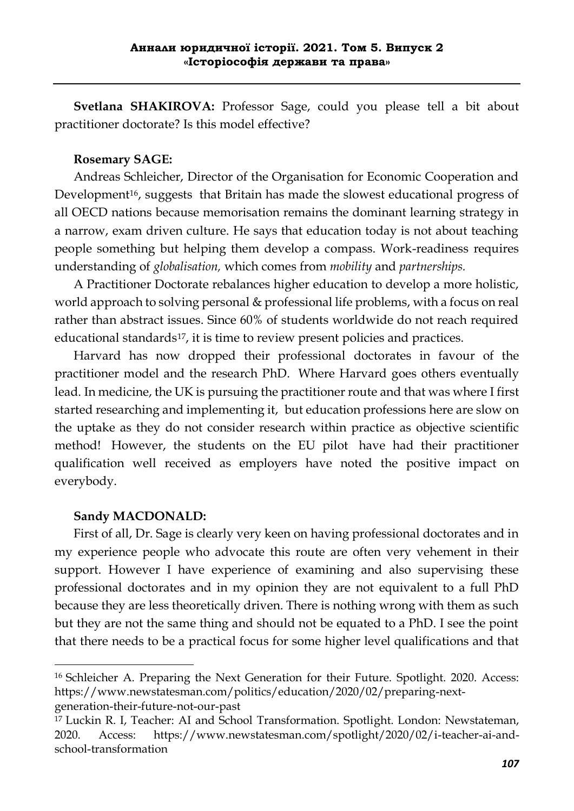**Svetlana SHAKIROVA:** Professor Sage, could you please tell a bit about practitioner doctorate? Is this model effective?

#### **Rosemary SAGE:**

 Andreas Schleicher, Director of the Organisation for Economic Cooperation and Development<sup>16</sup>, suggests that Britain has made the slowest educational progress of all OECD nations because memorisation remains the dominant learning strategy in a narrow, exam driven culture. He says that education today is not about teaching people something but helping them develop a compass. Work-readiness requires understanding of *globalisation,* which comes from *mobility* and *partnerships.* 

 A Practitioner Doctorate rebalances higher education to develop a more holistic, world approach to solving personal & professional life problems, with a focus on real rather than abstract issues. Since 60% of students worldwide do not reach required educational standards<sup>17</sup>, it is time to review present policies and practices.

 Harvard has now dropped their professional doctorates in favour of the practitioner model and the research PhD. Where Harvard goes others eventually lead. In medicine, the UK is pursuing the practitioner route and that was where I first started researching and implementing it, but education professions here are slow on the uptake as they do not consider research within practice as objective scientific method! However, the students on the EU pilot have had their practitioner qualification well received as employers have noted the positive impact on everybody.

#### **Sandy MACDONALD:**

1

 First of all, Dr. Sage is clearly very keen on having professional doctorates and in my experience people who advocate this route are often very vehement in their support. However I have experience of examining and also supervising these professional doctorates and in my opinion they are not equivalent to a full PhD because they are less theoretically driven. There is nothing wrong with them as such but they are not the same thing and should not be equated to a PhD. I see the point that there needs to be a practical focus for some higher level qualifications and that

<sup>16</sup> Schleicher A. Preparing the Next Generation for their Future. Spotlight. 2020. Access: https://www.newstatesman.com/politics/education/2020/02/preparing-nextgeneration-their-future-not-our-past

<sup>17</sup> Luckin R. I, Teacher: AI and School Transformation. Spotlight. London: Newstateman, 2020. Access: https://www.newstatesman.com/spotlight/2020/02/i-teacher-ai-andschool-transformation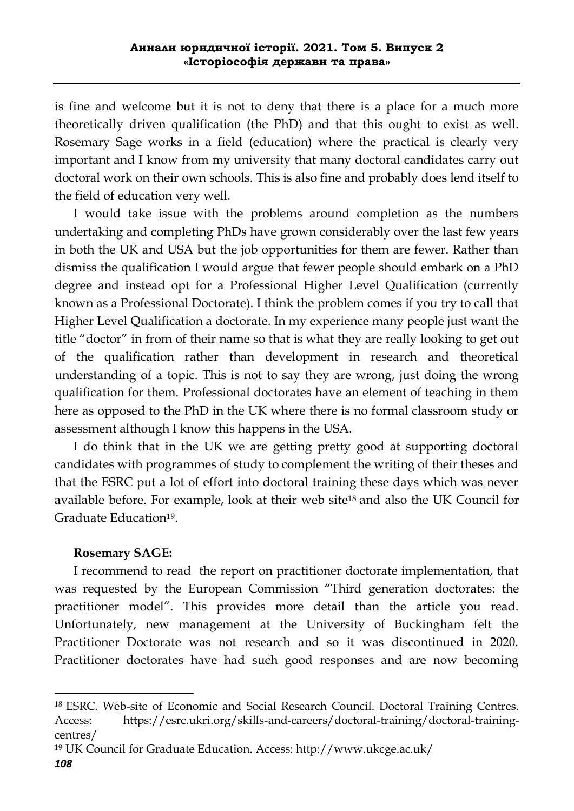is fine and welcome but it is not to deny that there is a place for a much more theoretically driven qualification (the PhD) and that this ought to exist as well. Rosemary Sage works in a field (education) where the practical is clearly very important and I know from my university that many doctoral candidates carry out doctoral work on their own schools. This is also fine and probably does lend itself to the field of education very well.

 I would take issue with the problems around completion as the numbers undertaking and completing PhDs have grown considerably over the last few years in both the UK and USA but the job opportunities for them are fewer. Rather than dismiss the qualification I would argue that fewer people should embark on a PhD degree and instead opt for a Professional Higher Level Qualification (currently known as a Professional Doctorate). I think the problem comes if you try to call that Higher Level Qualification a doctorate. In my experience many people just want the title "doctor" in from of their name so that is what they are really looking to get out of the qualification rather than development in research and theoretical understanding of a topic. This is not to say they are wrong, just doing the wrong qualification for them. Professional doctorates have an element of teaching in them here as opposed to the PhD in the UK where there is no formal classroom study or assessment although I know this happens in the USA.

 I do think that in the UK we are getting pretty good at supporting doctoral candidates with programmes of study to complement the writing of their theses and that the ESRC put a lot of effort into doctoral training these days which was never available before. For example, look at their web site<sup>18</sup> and also the UK Council for Graduate Education19.

# **Rosemary SAGE:**

 I recommend to read the report on practitioner doctorate implementation, that was requested by the European Commission "Third generation doctorates: the practitioner model". This provides more detail than the article you read. Unfortunately, new management at the University of Buckingham felt the Practitioner Doctorate was not research and so it was discontinued in 2020. Practitioner doctorates have had such good responses and are now becoming

-

<sup>18</sup> ESRC. Web-site of Economic and Social Research Council. Doctoral Training Centres. Access: https://esrc.ukri.org/skills-and-careers/doctoral-training/doctoral-trainingcentres/

<sup>19</sup> UK Council for Graduate Education. Access: http://www.ukcge.ac.uk/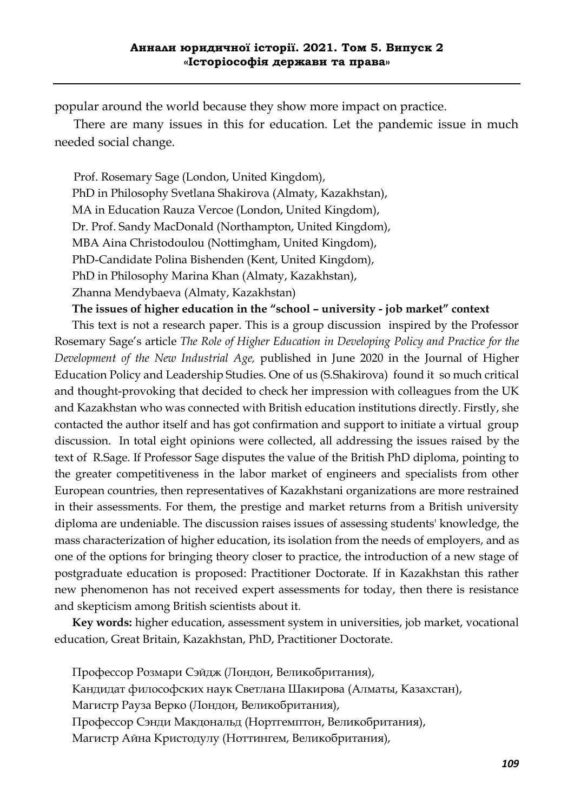popular around the world because they show more impact on practice.

 There are many issues in this for education. Let the pandemic issue in much needed social change.

 Prof. Rosemary Sage (London, United Kingdom), PhD in Philosophy Svetlana Shakirova (Almaty, Kazakhstan), MA in Education Rauza Vercoe (London, United Kingdom), Dr. Prof. Sandy MacDonald (Northampton, United Kingdom), MBA Aina Christodoulou (Nottimgham, United Kingdom), PhD-Candidate Polina Bishenden (Kent, United Kingdom), PhD in Philosophy Marina Khan (Almaty, Kazakhstan), Zhanna Mendybaeva (Almaty, Kazakhstan)

 **The issues of higher education in the "school – university - job market" context**

This text is not a research paper. This is a group discussion inspired by the Professor Rosemary Sage's article *The Role of Higher Education in Developing Policy and Practice for the Development of the New Industrial Age,* published in June 2020 in the Journal of Higher Education Policy and Leadership Studies. One of us (S.Shakirova) found it so much critical and thought-provoking that decided to check her impression with colleagues from the UK and Kazakhstan who was connected with British education institutions directly. Firstly, she contacted the author itself and has got confirmation and support to initiate a virtual group discussion. In total eight opinions were collected, all addressing the issues raised by the text of R.Sage. If Professor Sage disputes the value of the British PhD diploma, pointing to the greater competitiveness in the labor market of engineers and specialists from other European countries, then representatives of Kazakhstani organizations are more restrained in their assessments. For them, the prestige and market returns from a British university diploma are undeniable. The discussion raises issues of assessing students' knowledge, the mass characterization of higher education, its isolation from the needs of employers, and as one of the options for bringing theory closer to practice, the introduction of a new stage of postgraduate education is proposed: Practitioner Doctorate. If in Kazakhstan this rather new phenomenon has not received expert assessments for today, then there is resistance and skepticism among British scientists about it.

 **Key words:** higher education, assessment system in universities, job market, vocational education, Great Britain, Kazakhstan, PhD, Practitioner Doctorate.

 Профессор Розмари Сэйдж (Лондон, Великобритания), Кандидат философских наук Светлана Шакирова (Алматы, Казахстан), Магистр Рауза Верко (Лондон, Великобритания), Профессор Сэнди Макдональд (Нортгемптон, Великобритания), Магистр Айна Кристодулу (Ноттингем, Великобритания),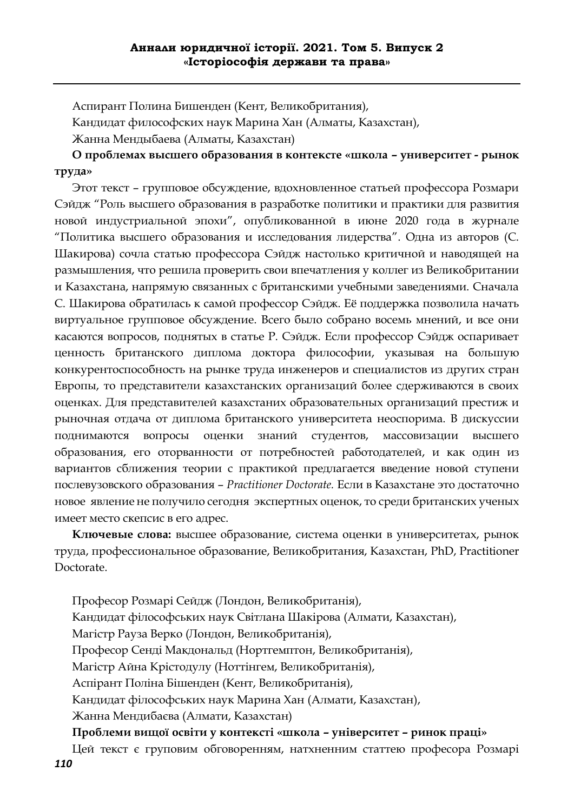Аспирант Полина Бишенден (Кент, Великобритания),

Кандидат философских наук Марина Хан (Алматы, Казахстан),

Жанна Мендыбаева (Алматы, Казахстан)

 **О проблемах высшего образования в контексте «школа – университет - рынок труда»**

 Этот текст – групповое обсуждение, вдохновленное статьей профессора Розмари Сэйдж "Роль высшего образования в разработке политики и практики для развития новой индустриальной эпохи", опубликованной в июне 2020 года в журнале "Политика высшего образования и исследования лидерства". Одна из авторов (С. Шакирова) сочла статью профессора Сэйдж настолько критичной и наводящей на размышления, что решила проверить свои впечатления у коллег из Великобритании и Казахстана, напрямую связанных с британскими учебными заведениями. Сначала С. Шакирова обратилась к самой профессор Сэйдж. Её поддержка позволила начать виртуальное групповое обсуждение. Всего было собрано восемь мнений, и все они касаются вопросов, поднятых в статье Р. Сэйдж. Если профессор Сэйдж оспаривает ценность британского диплома доктора философии, указывая на большую конкурентоспособность на рынке труда инженеров и специалистов из других стран Европы, то представители казахстанских организаций более сдерживаются в своих оценках. Для представителей казахстаних образовательных организаций престиж и рыночная отдача от диплома британского университета неоспорима. В дискуссии поднимаются вопросы оценки знаний студентов, массовизации высшего образования, его оторванности от потребностей работодателей, и как один из вариантов сближения теории с практикой предлагается введение новой ступени послевузовского образования – *Practitioner Doctorate.* Если в Казахстане это достаточно новое явление не получило сегодня экспертных оценок, то среди британских ученых имеет место скепсис в его адрес.

 **Ключевые слова:** высшее образование, система оценки в университетах, рынок труда, профессиональное образование, Великобритания, Казахстан, PhD, Practitioner Doctorate.

 Професор Розмарі Сейдж (Лондон, Великобританія), Кандидат філософських наук Світлана Шакірова (Алмати, Казахстан), Магістр Рауза Верко (Лондон, Великобританія), Професор Сенді Макдональд (Нортгемптон, Великобританія), Магістр Айна Крістодулу (Ноттінгем, Великобританія), Аспірант Поліна Бішенден (Кент, Великобританія), Кандидат філософських наук Марина Хан (Алмати, Казахстан), Жанна Мендибаєва (Алмати, Казахстан)  **Проблеми вищої освіти у контексті «школа – університет – ринок праці»**

*110* Цей текст є груповим обговоренням, натхненним статтею професора Розмарі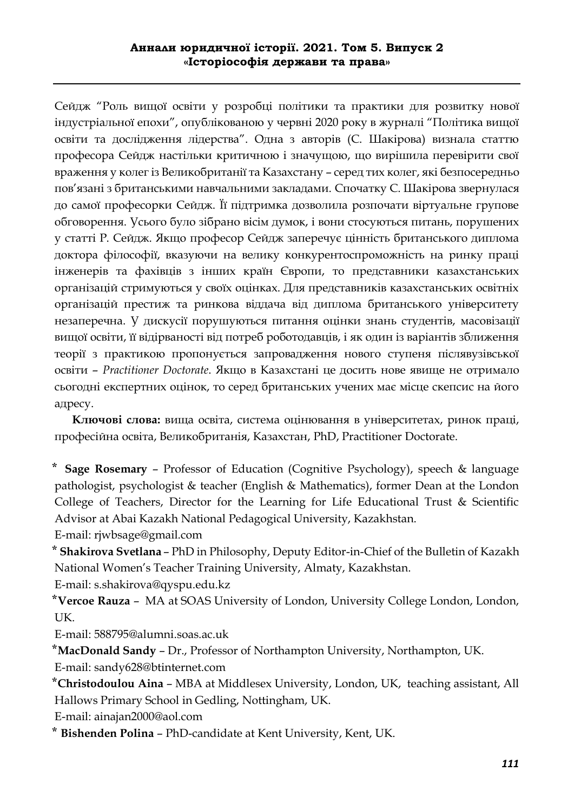Сейдж "Роль вищої освіти у розробці політики та практики для розвитку нової індустріальної епохи", опублікованою у червні 2020 року в журналі "Політика вищої освіти та дослідження лідерства". Одна з авторів (С. Шакірова) визнала статтю професора Сейдж настільки критичною і значущою, що вирішила перевірити свої враження у колег із Великобританії та Казахстану – серед тих колег, які безпосередньо пов'язані з британськими навчальними закладами. Спочатку С. Шакірова звернулася до самої професорки Сейдж. Її підтримка дозволила розпочати віртуальне групове обговорення. Усього було зібрано вісім думок, і вони стосуються питань, порушених у статті Р. Сейдж. Якщо професор Сейдж заперечує цінність британського диплома доктора філософії, вказуючи на велику конкурентоспроможність на ринку праці інженерів та фахівців з інших країн Європи, то представники казахстанських організацій стримуються у своїх оцінках. Для представників казахстанських освітніх організацій престиж та ринкова віддача від диплома британського університету незаперечна. У дискусії порушуються питання оцінки знань студентів, масовізації вищої освіти, її відірваності від потреб роботодавців, і як один із варіантів зближення теорії з практикою пропонується запровадження нового ступеня післявузівської освіти – *Practitioner Doctorate*. Якщо в Казахстані це досить нове явище не отримало сьогодні експертних оцінок, то серед британських учених має місце скепсис на його адресу.

 **Ключові слова:** вища освіта, система оцінювання в університетах, ринок праці, професійна освіта, Великобританія, Казахстан, PhD, Practitioner Doctorate.

**⃰ Sage Rosemary** – Professor of Education (Cognitive Psychology), speech & language pathologist, psychologist & teacher (English & Mathematics), former Dean at the London College of Teachers, Director for the Learning for Life Educational Trust & Scientific Advisor at Abai Kazakh National Pedagogical University, Kazakhstan.

E-mail: rjwbsage@gmail.com

**⃰ Shakirova Svetlana** – PhD in Philosophy, Deputy Editor-in-Chief of the Bulletin of Kazakh National Women's Teacher Training University, Almaty, Kazakhstan.

E-mail: s.shakirova@qyspu.edu.kz

**⃰Vercoe Rauza** – MA at SOAS University of London, University College London, London, UK.

E-mail: 588795@alumni.soas.ac.uk

**⃰MacDonald Sandy** – Dr., Professor of Northampton University, Northampton, UK. E-mail: sandy628@btinternet.com

**⃰Christodoulou Aina** – MBA at Middlesex University, London, UK, teaching assistant, All Hallows Primary School in Gedling, Nottingham, UK.

E-mail: ainajan2000@aol.com

**⃰ Bishenden Polina** – PhD-candidate at Kent University, Kent, UK.